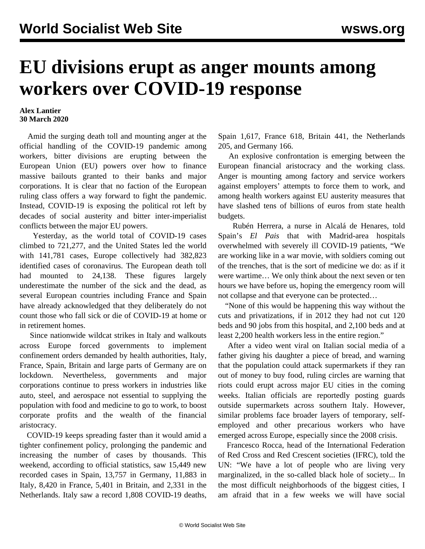## **EU divisions erupt as anger mounts among workers over COVID-19 response**

## **Alex Lantier 30 March 2020**

 Amid the surging death toll and mounting anger at the official handling of the COVID-19 pandemic among workers, bitter divisions are erupting between the European Union (EU) powers over how to finance massive bailouts granted to their banks and major corporations. It is clear that no faction of the European ruling class offers a way forward to fight the pandemic. Instead, COVID-19 is exposing the political rot left by decades of social austerity and bitter inter-imperialist conflicts between the major EU powers.

 Yesterday, as the world total of COVID-19 cases climbed to 721,277, and the United States led the world with 141,781 cases, Europe collectively had 382,823 identified cases of coronavirus. The European death toll had mounted to 24,138. These figures largely underestimate the number of the sick and the dead, as several European countries including France and Spain have already acknowledged that they deliberately do not count those who fall sick or die of COVID-19 at home or in retirement homes.

 Since nationwide [wildcat](/en/articles/2020/03/14/ital-m14.html) strikes in Italy and [walkouts](/en/articles/2020/03/26/euro-m26.html) across Europe forced governments to implement confinement orders demanded by health authorities, Italy, France, Spain, Britain and large parts of Germany are on lockdown. Nevertheless, governments and major corporations continue to press workers in industries like auto, steel, and aerospace not essential to supplying the population with food and medicine to go to work, to boost corporate profits and the wealth of the financial aristocracy.

 COVID-19 keeps spreading faster than it would amid a tighter confinement policy, prolonging the pandemic and increasing the number of cases by thousands. This weekend, according to official statistics, saw 15,449 new recorded cases in Spain, 13,757 in Germany, 11,883 in Italy, 8,420 in France, 5,401 in Britain, and 2,331 in the Netherlands. Italy saw a record 1,808 COVID-19 deaths,

Spain 1,617, France 618, Britain 441, the Netherlands 205, and Germany 166.

 An explosive confrontation is emerging between the European financial aristocracy and the working class. Anger is mounting among factory and service workers against employers' attempts to force them to work, and among health workers against EU austerity measures that have slashed tens of billions of euros from state health budgets.

 Rubén Herrera, a nurse in Alcalá de Henares, told Spain's *El Pais* that with Madrid-area hospitals overwhelmed with severely ill COVID-19 patients, "We are working like in a war movie, with soldiers coming out of the trenches, that is the sort of medicine we do: as if it were wartime… We only think about the next seven or ten hours we have before us, hoping the emergency room will not collapse and that everyone can be protected…

 "None of this would be happening this way without the cuts and privatizations, if in 2012 they had not cut 120 beds and 90 jobs from this hospital, and 2,100 beds and at least 2,200 health workers less in the entire region."

 After a video went viral on Italian social media of a father giving his daughter a piece of bread, and warning that the population could attack supermarkets if they ran out of money to buy food, ruling circles are warning that riots could erupt across major EU cities in the coming weeks. Italian officials are reportedly posting guards outside supermarkets across southern Italy. However, similar problems face broader layers of temporary, selfemployed and other precarious workers who have emerged across Europe, especially since the 2008 crisis.

 Francesco Rocca, head of the International Federation of Red Cross and Red Crescent societies (IFRC), told the UN: "We have a lot of people who are living very marginalized, in the so-called black hole of society... In the most difficult neighborhoods of the biggest cities, I am afraid that in a few weeks we will have social